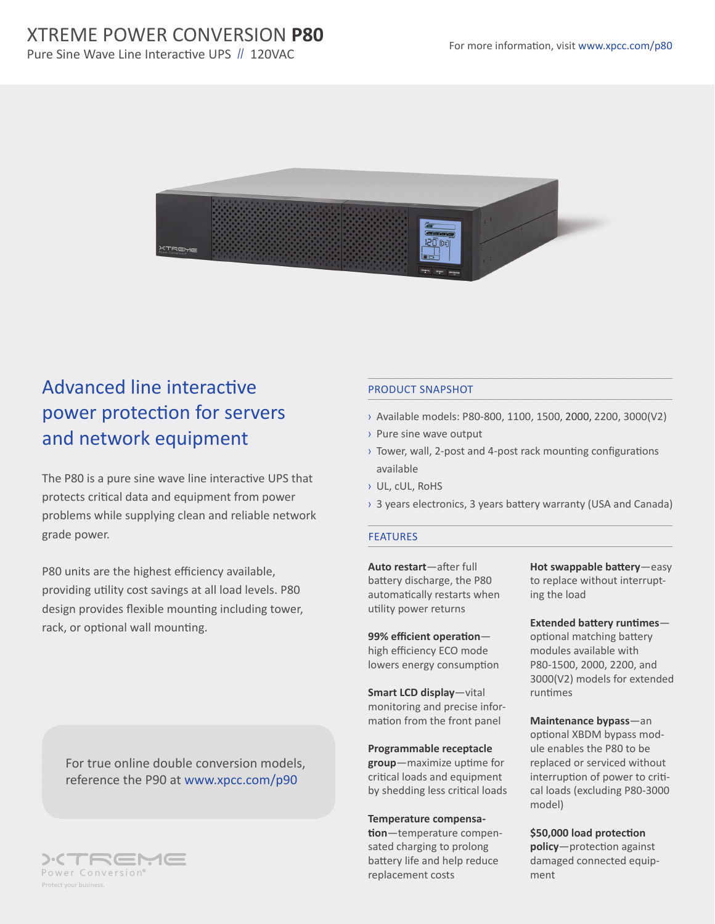

# Advanced line interactive power protection for servers and network equipment

The P80 is a pure sine wave line interactive UPS that protects critical data and equipment from power problems while supplying clean and reliable network grade power.

P80 units are the highest efficiency available, providing utility cost savings at all load levels. P80 design provides flexible mounting including tower, rack, or optional wall mounting.

For true online double conversion models, reference the P90 at www.xpcc.com/p90



## PRODUCT SNAPSHOT

- › Available models: P80-800, 1100, 1500, 2000, 2200, 3000(V2)
- › Pure sine wave output
- › Tower, wall, 2-post and 4-post rack mounting configurations available
- › UL, cUL, RoHS
- › 3 years electronics, 3 years battery warranty (USA and Canada)

#### **FEATURES**

**Auto restart**—after full battery discharge, the P80 automatically restarts when utility power returns

**99% efficient operation** high efficiency ECO mode lowers energy consumption

**Smart LCD display**—vital monitoring and precise information from the front panel

**Programmable receptacle group**—maximize uptime for critical loads and equipment by shedding less critical loads

**Temperature compensation**—temperature compensated charging to prolong battery life and help reduce replacement costs

**Hot swappable battery**—easy to replace without interrupting the load

**Extended battery runtimes** optional matching battery modules available with P80-1500, 2000, 2200, and 3000(V2) models for extended runtimes

**Maintenance bypass**—an optional XBDM bypass module enables the P80 to be replaced or serviced without interruption of power to critical loads (excluding P80-3000 model)

**\$50,000 load protection policy**—protection against damaged connected equipment